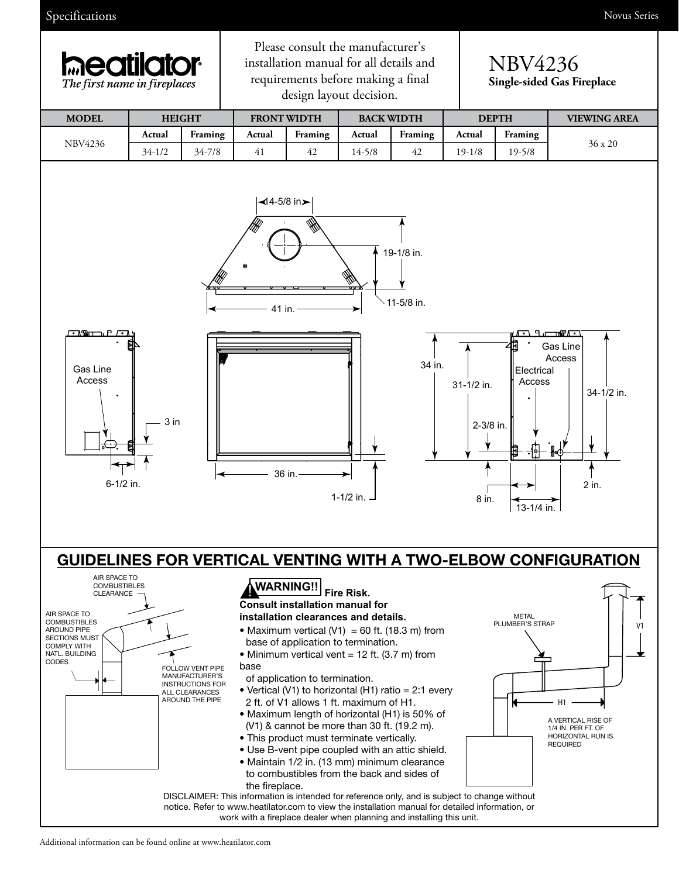